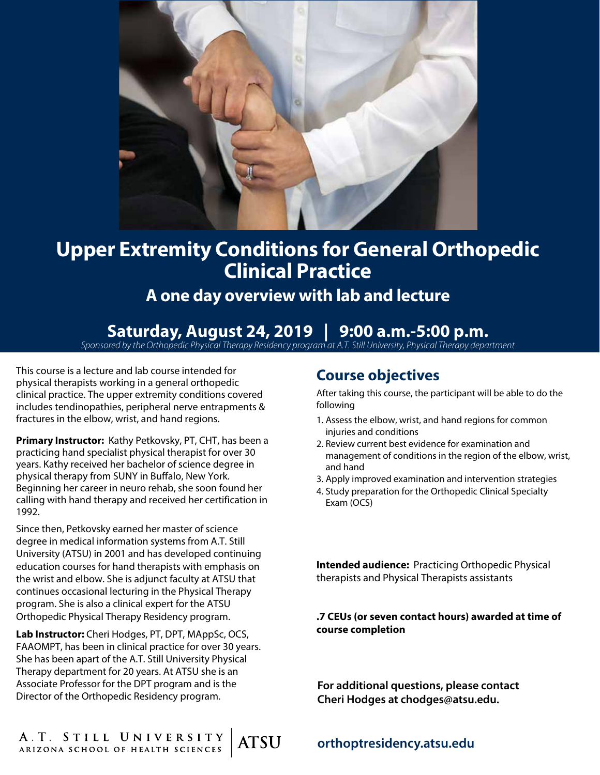

# **Upper Extremity Conditions for General Orthopedic Clinical Practice**

# **A one day overview with lab and lecture**

# **Saturday, August 24, 2019 | 9:00 a.m.-5:00 p.m.**

*Sponsored by the Orthopedic Physical Therapy Residency program at A.T. Still University, Physical Therapy department*

This course is a lecture and lab course intended for physical therapists working in a general orthopedic clinical practice. The upper extremity conditions covered includes tendinopathies, peripheral nerve entrapments & fractures in the elbow, wrist, and hand regions.

**Primary Instructor:** Kathy Petkovsky, PT, CHT, has been a practicing hand specialist physical therapist for over 30 years. Kathy received her bachelor of science degree in physical therapy from SUNY in Buffalo, New York. Beginning her career in neuro rehab, she soon found her calling with hand therapy and received her certification in 1992.

Since then, Petkovsky earned her master of science degree in medical information systems from A.T. Still University (ATSU) in 2001 and has developed continuing education courses for hand therapists with emphasis on the wrist and elbow. She is adjunct faculty at ATSU that continues occasional lecturing in the Physical Therapy program. She is also a clinical expert for the ATSU Orthopedic Physical Therapy Residency program.

**Lab Instructor:** Cheri Hodges, PT, DPT, MAppSc, OCS, FAAOMPT, has been in clinical practice for over 30 years. She has been apart of the A.T. Still University Physical Therapy department for 20 years. At ATSU she is an Associate Professor for the DPT program and is the Director of the Orthopedic Residency program.

# **Course objectives**

After taking this course, the participant will be able to do the following

- 1. Assess the elbow, wrist, and hand regions for common injuries and conditions
- 2. Review current best evidence for examination and management of conditions in the region of the elbow, wrist, and hand
- 3. Apply improved examination and intervention strategies
- 4. Study preparation for the Orthopedic Clinical Specialty Exam (OCS)

**Intended audience:** Practicing Orthopedic Physical therapists and Physical Therapists assistants

#### **.7 CEUs (or seven contact hours) awarded at time of course completion**

**For additional questions, please contact Cheri Hodges at chodges@atsu.edu.**

### **orthoptresidency.atsu.edu**